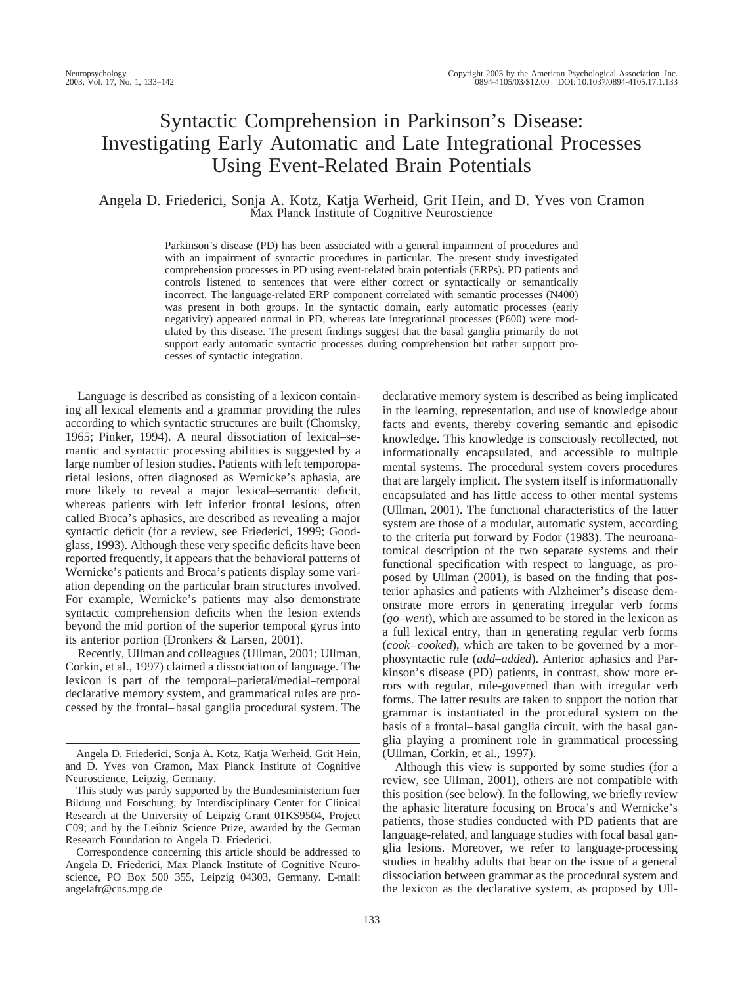# Syntactic Comprehension in Parkinson's Disease: Investigating Early Automatic and Late Integrational Processes Using Event-Related Brain Potentials

# Angela D. Friederici, Sonja A. Kotz, Katja Werheid, Grit Hein, and D. Yves von Cramon Max Planck Institute of Cognitive Neuroscience

Parkinson's disease (PD) has been associated with a general impairment of procedures and with an impairment of syntactic procedures in particular. The present study investigated comprehension processes in PD using event-related brain potentials (ERPs). PD patients and controls listened to sentences that were either correct or syntactically or semantically incorrect. The language-related ERP component correlated with semantic processes (N400) was present in both groups. In the syntactic domain, early automatic processes (early negativity) appeared normal in PD, whereas late integrational processes (P600) were modulated by this disease. The present findings suggest that the basal ganglia primarily do not support early automatic syntactic processes during comprehension but rather support processes of syntactic integration.

Language is described as consisting of a lexicon containing all lexical elements and a grammar providing the rules according to which syntactic structures are built (Chomsky, 1965; Pinker, 1994). A neural dissociation of lexical–semantic and syntactic processing abilities is suggested by a large number of lesion studies. Patients with left temporoparietal lesions, often diagnosed as Wernicke's aphasia, are more likely to reveal a major lexical–semantic deficit, whereas patients with left inferior frontal lesions, often called Broca's aphasics, are described as revealing a major syntactic deficit (for a review, see Friederici, 1999; Goodglass, 1993). Although these very specific deficits have been reported frequently, it appears that the behavioral patterns of Wernicke's patients and Broca's patients display some variation depending on the particular brain structures involved. For example, Wernicke's patients may also demonstrate syntactic comprehension deficits when the lesion extends beyond the mid portion of the superior temporal gyrus into its anterior portion (Dronkers & Larsen, 2001).

Recently, Ullman and colleagues (Ullman, 2001; Ullman, Corkin, et al., 1997) claimed a dissociation of language. The lexicon is part of the temporal–parietal/medial–temporal declarative memory system, and grammatical rules are processed by the frontal–basal ganglia procedural system. The

Correspondence concerning this article should be addressed to Angela D. Friederici, Max Planck Institute of Cognitive Neuroscience, PO Box 500 355, Leipzig 04303, Germany. E-mail: angelafr@cns.mpg.de

declarative memory system is described as being implicated in the learning, representation, and use of knowledge about facts and events, thereby covering semantic and episodic knowledge. This knowledge is consciously recollected, not informationally encapsulated, and accessible to multiple mental systems. The procedural system covers procedures that are largely implicit. The system itself is informationally encapsulated and has little access to other mental systems (Ullman, 2001). The functional characteristics of the latter system are those of a modular, automatic system, according to the criteria put forward by Fodor (1983). The neuroanatomical description of the two separate systems and their functional specification with respect to language, as proposed by Ullman (2001), is based on the finding that posterior aphasics and patients with Alzheimer's disease demonstrate more errors in generating irregular verb forms (*go–went*), which are assumed to be stored in the lexicon as a full lexical entry, than in generating regular verb forms (*cook–cooked*), which are taken to be governed by a morphosyntactic rule (*add*–*added*). Anterior aphasics and Parkinson's disease (PD) patients, in contrast, show more errors with regular, rule-governed than with irregular verb forms. The latter results are taken to support the notion that grammar is instantiated in the procedural system on the basis of a frontal–basal ganglia circuit, with the basal ganglia playing a prominent role in grammatical processing (Ullman, Corkin, et al., 1997).

Although this view is supported by some studies (for a review, see Ullman, 2001), others are not compatible with this position (see below). In the following, we briefly review the aphasic literature focusing on Broca's and Wernicke's patients, those studies conducted with PD patients that are language-related, and language studies with focal basal ganglia lesions. Moreover, we refer to language-processing studies in healthy adults that bear on the issue of a general dissociation between grammar as the procedural system and the lexicon as the declarative system, as proposed by Ull-

Angela D. Friederici, Sonja A. Kotz, Katja Werheid, Grit Hein, and D. Yves von Cramon, Max Planck Institute of Cognitive Neuroscience, Leipzig, Germany.

This study was partly supported by the Bundesministerium fuer Bildung und Forschung; by Interdisciplinary Center for Clinical Research at the University of Leipzig Grant 01KS9504, Project C09; and by the Leibniz Science Prize, awarded by the German Research Foundation to Angela D. Friederici.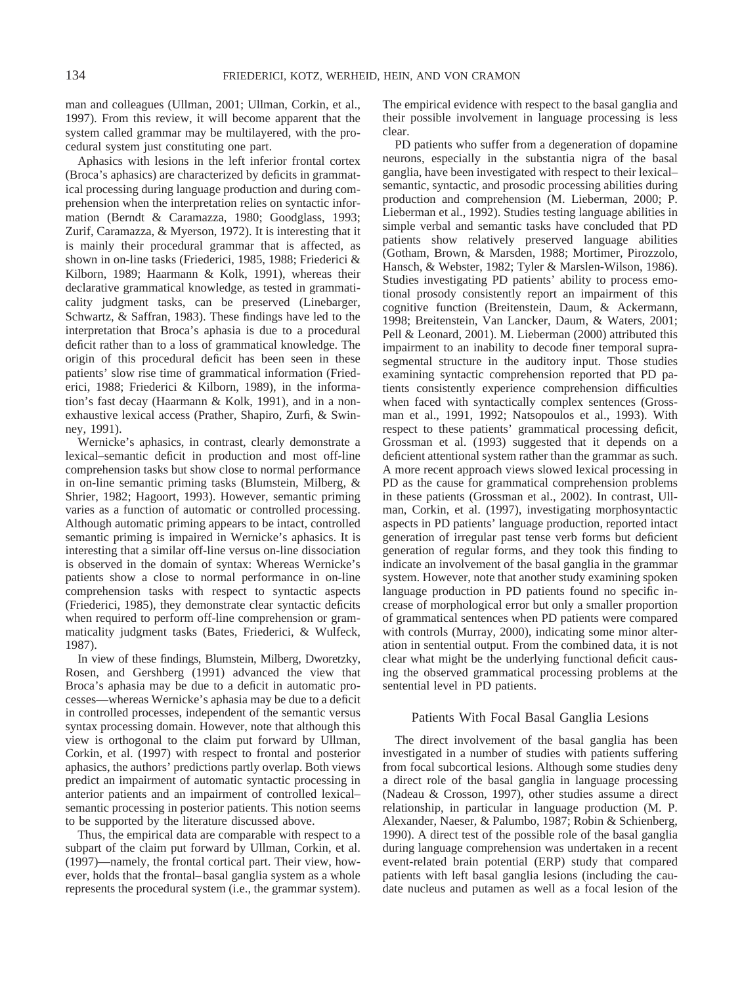man and colleagues (Ullman, 2001; Ullman, Corkin, et al., 1997). From this review, it will become apparent that the system called grammar may be multilayered, with the procedural system just constituting one part.

Aphasics with lesions in the left inferior frontal cortex (Broca's aphasics) are characterized by deficits in grammatical processing during language production and during comprehension when the interpretation relies on syntactic information (Berndt & Caramazza, 1980; Goodglass, 1993; Zurif, Caramazza, & Myerson, 1972). It is interesting that it is mainly their procedural grammar that is affected, as shown in on-line tasks (Friederici, 1985, 1988; Friederici & Kilborn, 1989; Haarmann & Kolk, 1991), whereas their declarative grammatical knowledge, as tested in grammaticality judgment tasks, can be preserved (Linebarger, Schwartz, & Saffran, 1983). These findings have led to the interpretation that Broca's aphasia is due to a procedural deficit rather than to a loss of grammatical knowledge. The origin of this procedural deficit has been seen in these patients' slow rise time of grammatical information (Friederici, 1988; Friederici & Kilborn, 1989), in the information's fast decay (Haarmann & Kolk, 1991), and in a nonexhaustive lexical access (Prather, Shapiro, Zurfi, & Swinney, 1991).

Wernicke's aphasics, in contrast, clearly demonstrate a lexical–semantic deficit in production and most off-line comprehension tasks but show close to normal performance in on-line semantic priming tasks (Blumstein, Milberg, & Shrier, 1982; Hagoort, 1993). However, semantic priming varies as a function of automatic or controlled processing. Although automatic priming appears to be intact, controlled semantic priming is impaired in Wernicke's aphasics. It is interesting that a similar off-line versus on-line dissociation is observed in the domain of syntax: Whereas Wernicke's patients show a close to normal performance in on-line comprehension tasks with respect to syntactic aspects (Friederici, 1985), they demonstrate clear syntactic deficits when required to perform off-line comprehension or grammaticality judgment tasks (Bates, Friederici, & Wulfeck, 1987).

In view of these findings, Blumstein, Milberg, Dworetzky, Rosen, and Gershberg (1991) advanced the view that Broca's aphasia may be due to a deficit in automatic processes—whereas Wernicke's aphasia may be due to a deficit in controlled processes, independent of the semantic versus syntax processing domain. However, note that although this view is orthogonal to the claim put forward by Ullman, Corkin, et al. (1997) with respect to frontal and posterior aphasics, the authors' predictions partly overlap. Both views predict an impairment of automatic syntactic processing in anterior patients and an impairment of controlled lexical– semantic processing in posterior patients. This notion seems to be supported by the literature discussed above.

Thus, the empirical data are comparable with respect to a subpart of the claim put forward by Ullman, Corkin, et al. (1997)—namely, the frontal cortical part. Their view, however, holds that the frontal–basal ganglia system as a whole represents the procedural system (i.e., the grammar system).

The empirical evidence with respect to the basal ganglia and their possible involvement in language processing is less clear.

PD patients who suffer from a degeneration of dopamine neurons, especially in the substantia nigra of the basal ganglia, have been investigated with respect to their lexical– semantic, syntactic, and prosodic processing abilities during production and comprehension (M. Lieberman, 2000; P. Lieberman et al., 1992). Studies testing language abilities in simple verbal and semantic tasks have concluded that PD patients show relatively preserved language abilities (Gotham, Brown, & Marsden, 1988; Mortimer, Pirozzolo, Hansch, & Webster, 1982; Tyler & Marslen-Wilson, 1986). Studies investigating PD patients' ability to process emotional prosody consistently report an impairment of this cognitive function (Breitenstein, Daum, & Ackermann, 1998; Breitenstein, Van Lancker, Daum, & Waters, 2001; Pell & Leonard, 2001). M. Lieberman (2000) attributed this impairment to an inability to decode finer temporal suprasegmental structure in the auditory input. Those studies examining syntactic comprehension reported that PD patients consistently experience comprehension difficulties when faced with syntactically complex sentences (Grossman et al., 1991, 1992; Natsopoulos et al., 1993). With respect to these patients' grammatical processing deficit, Grossman et al. (1993) suggested that it depends on a deficient attentional system rather than the grammar as such. A more recent approach views slowed lexical processing in PD as the cause for grammatical comprehension problems in these patients (Grossman et al., 2002). In contrast, Ullman, Corkin, et al. (1997), investigating morphosyntactic aspects in PD patients' language production, reported intact generation of irregular past tense verb forms but deficient generation of regular forms, and they took this finding to indicate an involvement of the basal ganglia in the grammar system. However, note that another study examining spoken language production in PD patients found no specific increase of morphological error but only a smaller proportion of grammatical sentences when PD patients were compared with controls (Murray, 2000), indicating some minor alteration in sentential output. From the combined data, it is not clear what might be the underlying functional deficit causing the observed grammatical processing problems at the sentential level in PD patients.

# Patients With Focal Basal Ganglia Lesions

The direct involvement of the basal ganglia has been investigated in a number of studies with patients suffering from focal subcortical lesions. Although some studies deny a direct role of the basal ganglia in language processing (Nadeau & Crosson, 1997), other studies assume a direct relationship, in particular in language production (M. P. Alexander, Naeser, & Palumbo, 1987; Robin & Schienberg, 1990). A direct test of the possible role of the basal ganglia during language comprehension was undertaken in a recent event-related brain potential (ERP) study that compared patients with left basal ganglia lesions (including the caudate nucleus and putamen as well as a focal lesion of the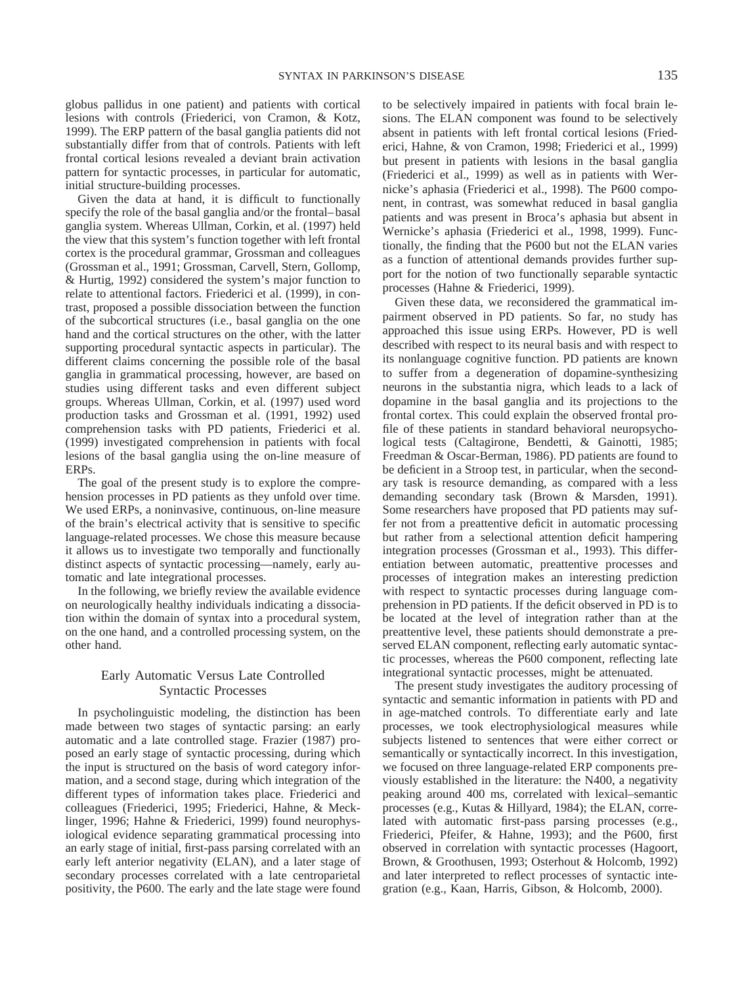globus pallidus in one patient) and patients with cortical lesions with controls (Friederici, von Cramon, & Kotz, 1999). The ERP pattern of the basal ganglia patients did not substantially differ from that of controls. Patients with left frontal cortical lesions revealed a deviant brain activation pattern for syntactic processes, in particular for automatic, initial structure-building processes.

Given the data at hand, it is difficult to functionally specify the role of the basal ganglia and/or the frontal–basal ganglia system. Whereas Ullman, Corkin, et al. (1997) held the view that this system's function together with left frontal cortex is the procedural grammar, Grossman and colleagues (Grossman et al., 1991; Grossman, Carvell, Stern, Gollomp, & Hurtig, 1992) considered the system's major function to relate to attentional factors. Friederici et al. (1999), in contrast, proposed a possible dissociation between the function of the subcortical structures (i.e., basal ganglia on the one hand and the cortical structures on the other, with the latter supporting procedural syntactic aspects in particular). The different claims concerning the possible role of the basal ganglia in grammatical processing, however, are based on studies using different tasks and even different subject groups. Whereas Ullman, Corkin, et al. (1997) used word production tasks and Grossman et al. (1991, 1992) used comprehension tasks with PD patients, Friederici et al. (1999) investigated comprehension in patients with focal lesions of the basal ganglia using the on-line measure of ERPs.

The goal of the present study is to explore the comprehension processes in PD patients as they unfold over time. We used ERPs, a noninvasive, continuous, on-line measure of the brain's electrical activity that is sensitive to specific language-related processes. We chose this measure because it allows us to investigate two temporally and functionally distinct aspects of syntactic processing—namely, early automatic and late integrational processes.

In the following, we briefly review the available evidence on neurologically healthy individuals indicating a dissociation within the domain of syntax into a procedural system, on the one hand, and a controlled processing system, on the other hand.

# Early Automatic Versus Late Controlled Syntactic Processes

In psycholinguistic modeling, the distinction has been made between two stages of syntactic parsing: an early automatic and a late controlled stage. Frazier (1987) proposed an early stage of syntactic processing, during which the input is structured on the basis of word category information, and a second stage, during which integration of the different types of information takes place. Friederici and colleagues (Friederici, 1995; Friederici, Hahne, & Mecklinger, 1996; Hahne & Friederici, 1999) found neurophysiological evidence separating grammatical processing into an early stage of initial, first-pass parsing correlated with an early left anterior negativity (ELAN), and a later stage of secondary processes correlated with a late centroparietal positivity, the P600. The early and the late stage were found

to be selectively impaired in patients with focal brain lesions. The ELAN component was found to be selectively absent in patients with left frontal cortical lesions (Friederici, Hahne, & von Cramon, 1998; Friederici et al., 1999) but present in patients with lesions in the basal ganglia (Friederici et al., 1999) as well as in patients with Wernicke's aphasia (Friederici et al., 1998). The P600 component, in contrast, was somewhat reduced in basal ganglia patients and was present in Broca's aphasia but absent in Wernicke's aphasia (Friederici et al., 1998, 1999). Functionally, the finding that the P600 but not the ELAN varies as a function of attentional demands provides further support for the notion of two functionally separable syntactic processes (Hahne & Friederici, 1999).

Given these data, we reconsidered the grammatical impairment observed in PD patients. So far, no study has approached this issue using ERPs. However, PD is well described with respect to its neural basis and with respect to its nonlanguage cognitive function. PD patients are known to suffer from a degeneration of dopamine-synthesizing neurons in the substantia nigra, which leads to a lack of dopamine in the basal ganglia and its projections to the frontal cortex. This could explain the observed frontal profile of these patients in standard behavioral neuropsychological tests (Caltagirone, Bendetti, & Gainotti, 1985; Freedman & Oscar-Berman, 1986). PD patients are found to be deficient in a Stroop test, in particular, when the secondary task is resource demanding, as compared with a less demanding secondary task (Brown & Marsden, 1991). Some researchers have proposed that PD patients may suffer not from a preattentive deficit in automatic processing but rather from a selectional attention deficit hampering integration processes (Grossman et al., 1993). This differentiation between automatic, preattentive processes and processes of integration makes an interesting prediction with respect to syntactic processes during language comprehension in PD patients. If the deficit observed in PD is to be located at the level of integration rather than at the preattentive level, these patients should demonstrate a preserved ELAN component, reflecting early automatic syntactic processes, whereas the P600 component, reflecting late integrational syntactic processes, might be attenuated.

The present study investigates the auditory processing of syntactic and semantic information in patients with PD and in age-matched controls. To differentiate early and late processes, we took electrophysiological measures while subjects listened to sentences that were either correct or semantically or syntactically incorrect. In this investigation, we focused on three language-related ERP components previously established in the literature: the N400, a negativity peaking around 400 ms, correlated with lexical–semantic processes (e.g., Kutas & Hillyard, 1984); the ELAN, correlated with automatic first-pass parsing processes (e.g., Friederici, Pfeifer, & Hahne, 1993); and the P600, first observed in correlation with syntactic processes (Hagoort, Brown, & Groothusen, 1993; Osterhout & Holcomb, 1992) and later interpreted to reflect processes of syntactic integration (e.g., Kaan, Harris, Gibson, & Holcomb, 2000).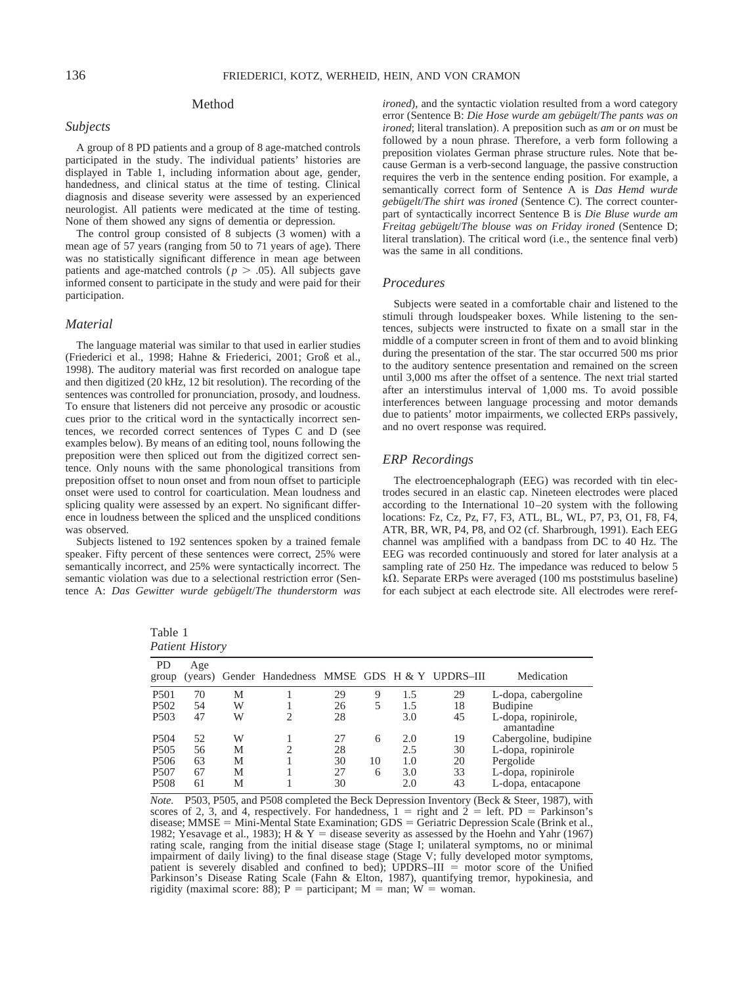# Method

## *Subjects*

A group of 8 PD patients and a group of 8 age-matched controls participated in the study. The individual patients' histories are displayed in Table 1, including information about age, gender, handedness, and clinical status at the time of testing. Clinical diagnosis and disease severity were assessed by an experienced neurologist. All patients were medicated at the time of testing. None of them showed any signs of dementia or depression.

The control group consisted of 8 subjects (3 women) with a mean age of 57 years (ranging from 50 to 71 years of age). There was no statistically significant difference in mean age between patients and age-matched controls ( $p > .05$ ). All subjects gave informed consent to participate in the study and were paid for their participation.

#### *Material*

The language material was similar to that used in earlier studies (Friederici et al., 1998; Hahne & Friederici, 2001; Groß et al., 1998). The auditory material was first recorded on analogue tape and then digitized (20 kHz, 12 bit resolution). The recording of the sentences was controlled for pronunciation, prosody, and loudness. To ensure that listeners did not perceive any prosodic or acoustic cues prior to the critical word in the syntactically incorrect sentences, we recorded correct sentences of Types C and D (see examples below). By means of an editing tool, nouns following the preposition were then spliced out from the digitized correct sentence. Only nouns with the same phonological transitions from preposition offset to noun onset and from noun offset to participle onset were used to control for coarticulation. Mean loudness and splicing quality were assessed by an expert. No significant difference in loudness between the spliced and the unspliced conditions was observed.

Subjects listened to 192 sentences spoken by a trained female speaker. Fifty percent of these sentences were correct, 25% were semantically incorrect, and 25% were syntactically incorrect. The semantic violation was due to a selectional restriction error (Sentence A: *Das Gewitter wurde gebügelt/The thunderstorm was* 

Table 1 *Patient History*

*ironed*), and the syntactic violation resulted from a word category error (Sentence B: *Die Hose wurde am gebügelt/The pants was on ironed*; literal translation). A preposition such as *am* or *on* must be followed by a noun phrase. Therefore, a verb form following a preposition violates German phrase structure rules. Note that because German is a verb-second language, the passive construction requires the verb in the sentence ending position. For example, a semantically correct form of Sentence A is *Das Hemd wurde gebu¨gelt*/*The shirt was ironed* (Sentence C). The correct counterpart of syntactically incorrect Sentence B is *Die Bluse wurde am Freitag gebügelt/The blouse was on Friday ironed* (Sentence D; literal translation). The critical word (i.e., the sentence final verb) was the same in all conditions.

#### *Procedures*

Subjects were seated in a comfortable chair and listened to the stimuli through loudspeaker boxes. While listening to the sentences, subjects were instructed to fixate on a small star in the middle of a computer screen in front of them and to avoid blinking during the presentation of the star. The star occurred 500 ms prior to the auditory sentence presentation and remained on the screen until 3,000 ms after the offset of a sentence. The next trial started after an interstimulus interval of 1,000 ms. To avoid possible interferences between language processing and motor demands due to patients' motor impairments, we collected ERPs passively, and no overt response was required.

## *ERP Recordings*

The electroencephalograph (EEG) was recorded with tin electrodes secured in an elastic cap. Nineteen electrodes were placed according to the International 10–20 system with the following locations: Fz, Cz, Pz, F7, F3, ATL, BL, WL, P7, P3, O1, F8, F4, ATR, BR, WR, P4, P8, and O2 (cf. Sharbrough, 1991). Each EEG channel was amplified with a bandpass from DC to 40 Hz. The EEG was recorded continuously and stored for later analysis at a sampling rate of 250 Hz. The impedance was reduced to below 5  $k\Omega$ . Separate ERPs were averaged (100 ms poststimulus baseline) for each subject at each electrode site. All electrodes were reref-

| Patient History    |     |   |                                                    |    |    |     |    |                                   |
|--------------------|-----|---|----------------------------------------------------|----|----|-----|----|-----------------------------------|
| <b>PD</b><br>group | Age |   | (years) Gender Handedness MMSE GDS H & Y UPDRS-III |    |    |     |    | Medication                        |
| P <sub>501</sub>   | 70  | Μ |                                                    | 29 | 9  | 1.5 | 29 | L-dopa, cabergoline               |
| P <sub>502</sub>   | 54  | W |                                                    | 26 | 5  | 1.5 | 18 | Budipine                          |
| P <sub>503</sub>   | 47  | W | 2                                                  | 28 |    | 3.0 | 45 | L-dopa, ropinirole,<br>amantadine |
| P <sub>504</sub>   | 52  | W |                                                    | 27 | 6  | 2.0 | 19 | Cabergoline, budipine             |
| P <sub>505</sub>   | 56  | М | ↑                                                  | 28 |    | 2.5 | 30 | L-dopa, ropinirole                |
| P <sub>506</sub>   | 63  | М |                                                    | 30 | 10 | 1.0 | 20 | Pergolide                         |
| P <sub>507</sub>   | 67  | M |                                                    | 27 | 6  | 3.0 | 33 | L-dopa, ropinirole                |
| <b>P508</b>        | 61  | М |                                                    | 30 |    | 2.0 | 43 | L-dopa, entacapone                |
|                    |     |   |                                                    |    |    |     |    |                                   |

*Note.* P503, P505, and P508 completed the Beck Depression Inventory (Beck & Steer, 1987), with scores of 2, 3, and 4, respectively. For handedness,  $1 =$  right and  $2 =$  left. PD = Parkinson's disease;  $MMSE = Mini-Mental State Examination$ ;  $GDS = Geriatric Depression Scale (Brink et al.,$ 1982; Yesavage et al., 1983); H & Y = disease severity as assessed by the Hoehn and Yahr (1967) rating scale, ranging from the initial disease stage (Stage I; unilateral symptoms, no or minimal impairment of daily living) to the final disease stage (Stage V; fully developed motor symptoms, patient is severely disabled and confined to bed); UPDRS–III  $=$  motor score of the Unified Parkinson's Disease Rating Scale (Fahn & Elton, 1987), quantifying tremor, hypokinesia, and rigidity (maximal score: 88); P = participant; M = man; W = woman.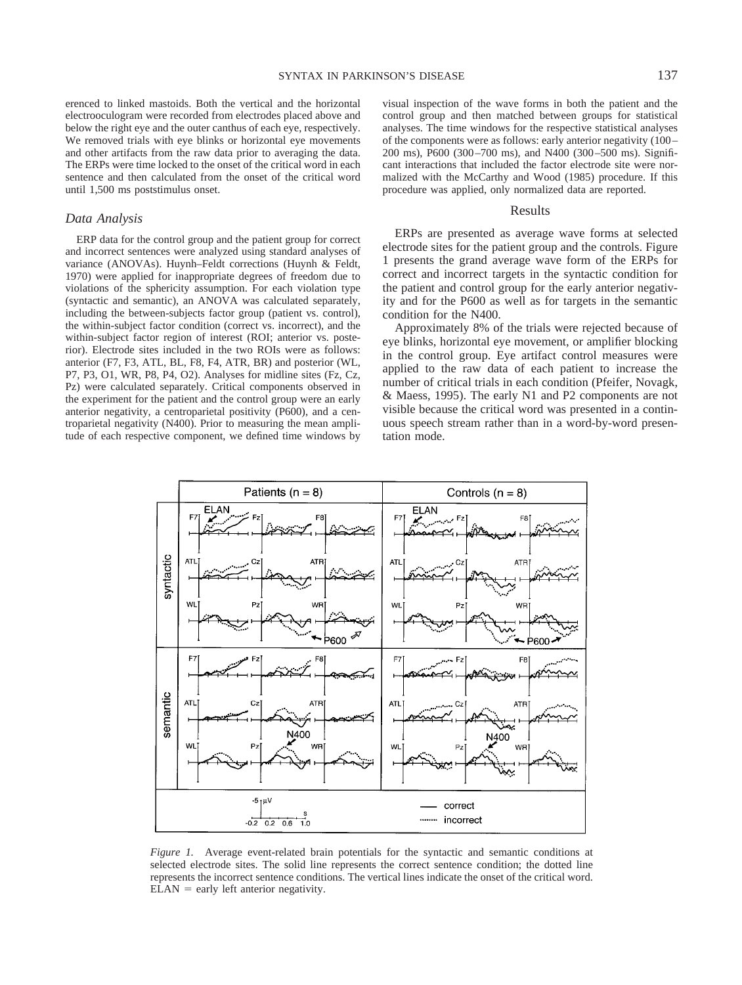erenced to linked mastoids. Both the vertical and the horizontal electrooculogram were recorded from electrodes placed above and below the right eye and the outer canthus of each eye, respectively. We removed trials with eye blinks or horizontal eye movements and other artifacts from the raw data prior to averaging the data. The ERPs were time locked to the onset of the critical word in each sentence and then calculated from the onset of the critical word until 1,500 ms poststimulus onset.

#### *Data Analysis*

ERP data for the control group and the patient group for correct and incorrect sentences were analyzed using standard analyses of variance (ANOVAs). Huynh–Feldt corrections (Huynh & Feldt, 1970) were applied for inappropriate degrees of freedom due to violations of the sphericity assumption. For each violation type (syntactic and semantic), an ANOVA was calculated separately, including the between-subjects factor group (patient vs. control), the within-subject factor condition (correct vs. incorrect), and the within-subject factor region of interest (ROI; anterior vs. posterior). Electrode sites included in the two ROIs were as follows: anterior (F7, F3, ATL, BL, F8, F4, ATR, BR) and posterior (WL, P7, P3, O1, WR, P8, P4, O2). Analyses for midline sites (Fz, Cz, Pz) were calculated separately. Critical components observed in the experiment for the patient and the control group were an early anterior negativity, a centroparietal positivity (P600), and a centroparietal negativity (N400). Prior to measuring the mean amplitude of each respective component, we defined time windows by

visual inspection of the wave forms in both the patient and the control group and then matched between groups for statistical analyses. The time windows for the respective statistical analyses of the components were as follows: early anterior negativity (100– 200 ms), P600 (300–700 ms), and N400 (300–500 ms). Significant interactions that included the factor electrode site were normalized with the McCarthy and Wood (1985) procedure. If this procedure was applied, only normalized data are reported.

## Results

ERPs are presented as average wave forms at selected electrode sites for the patient group and the controls. Figure 1 presents the grand average wave form of the ERPs for correct and incorrect targets in the syntactic condition for the patient and control group for the early anterior negativity and for the P600 as well as for targets in the semantic condition for the N400.

Approximately 8% of the trials were rejected because of eye blinks, horizontal eye movement, or amplifier blocking in the control group. Eye artifact control measures were applied to the raw data of each patient to increase the number of critical trials in each condition (Pfeifer, Novagk, & Maess, 1995). The early N1 and P2 components are not visible because the critical word was presented in a continuous speech stream rather than in a word-by-word presentation mode.



*Figure 1.* Average event-related brain potentials for the syntactic and semantic conditions at selected electrode sites. The solid line represents the correct sentence condition; the dotted line represents the incorrect sentence conditions. The vertical lines indicate the onset of the critical word.  $ELAN =$  early left anterior negativity.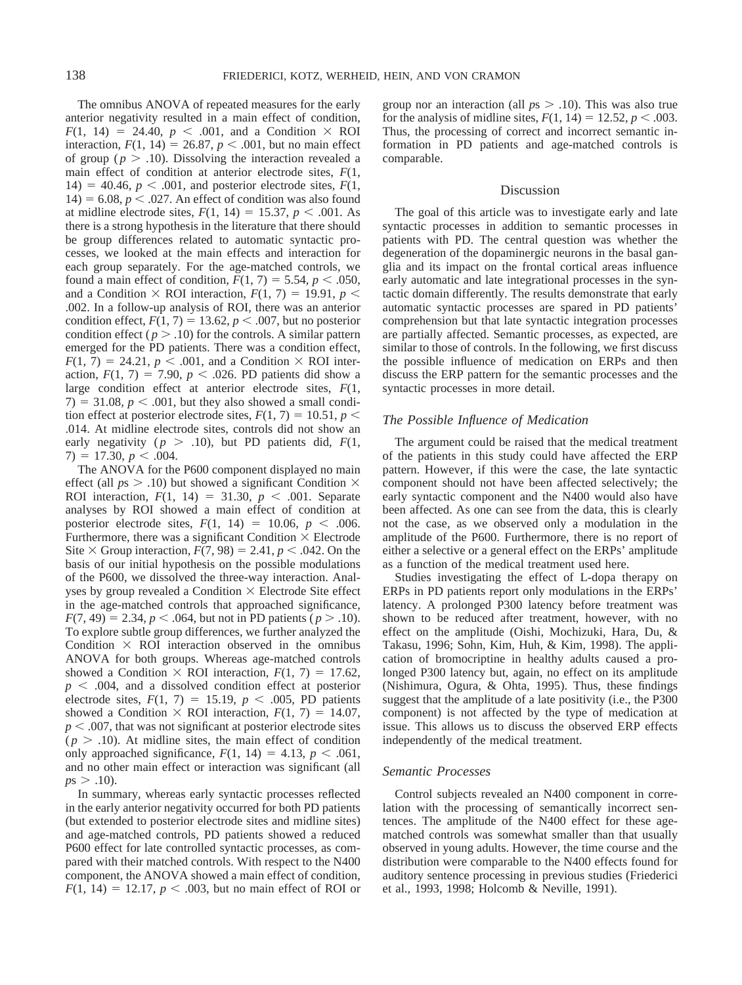The omnibus ANOVA of repeated measures for the early anterior negativity resulted in a main effect of condition,  $F(1, 14) = 24.40, p < .001$ , and a Condition  $\times$  ROI interaction,  $F(1, 14) = 26.87, p < .001$ , but no main effect of group ( $p > .10$ ). Dissolving the interaction revealed a main effect of condition at anterior electrode sites, *F*(1,  $14) = 40.46$ ,  $p < .001$ , and posterior electrode sites,  $F(1,$  $14$ ) = 6.08,  $p < 0.027$ . An effect of condition was also found at midline electrode sites,  $F(1, 14) = 15.37, p < .001$ . As there is a strong hypothesis in the literature that there should be group differences related to automatic syntactic processes, we looked at the main effects and interaction for each group separately. For the age-matched controls, we found a main effect of condition,  $F(1, 7) = 5.54$ ,  $p < .050$ , and a Condition  $\times$  ROI interaction,  $F(1, 7) = 19.91$ ,  $p \le$ .002. In a follow-up analysis of ROI, there was an anterior condition effect,  $F(1, 7) = 13.62$ ,  $p < .007$ , but no posterior condition effect ( $p > 0.10$ ) for the controls. A similar pattern emerged for the PD patients. There was a condition effect,  $F(1, 7) = 24.21$ ,  $p < .001$ , and a Condition  $\times$  ROI interaction,  $F(1, 7) = 7.90$ ,  $p < .026$ . PD patients did show a large condition effect at anterior electrode sites, *F*(1,  $7) = 31.08$ ,  $p < .001$ , but they also showed a small condition effect at posterior electrode sites,  $F(1, 7) = 10.51$ ,  $p \le$ .014. At midline electrode sites, controls did not show an early negativity ( $p > .10$ ), but PD patients did,  $F(1, 1)$  $7) = 17.30, p < .004.$ 

The ANOVA for the P600 component displayed no main effect (all  $ps > .10$ ) but showed a significant Condition  $\times$ ROI interaction,  $F(1, 14) = 31.30, p < .001$ . Separate analyses by ROI showed a main effect of condition at posterior electrode sites,  $F(1, 14) = 10.06$ ,  $p < .006$ . Furthermore, there was a significant Condition  $\times$  Electrode Site  $\times$  Group interaction,  $F(7, 98) = 2.41$ ,  $p < .042$ . On the basis of our initial hypothesis on the possible modulations of the P600, we dissolved the three-way interaction. Analyses by group revealed a Condition  $\times$  Electrode Site effect in the age-matched controls that approached significance,  $F(7, 49) = 2.34, p < .064$ , but not in PD patients ( $p > .10$ ). To explore subtle group differences, we further analyzed the Condition  $\times$  ROI interaction observed in the omnibus ANOVA for both groups. Whereas age-matched controls showed a Condition  $\times$  ROI interaction,  $F(1, 7) = 17.62$ ,  $p \leq 0.004$ , and a dissolved condition effect at posterior electrode sites,  $F(1, 7) = 15.19$ ,  $p < .005$ , PD patients showed a Condition  $\times$  ROI interaction,  $F(1, 7) = 14.07$ ,  $p < .007$ , that was not significant at posterior electrode sites  $(p > .10)$ . At midline sites, the main effect of condition only approached significance,  $F(1, 14) = 4.13$ ,  $p < .061$ , and no other main effect or interaction was significant (all  $p s > .10$ ).

In summary, whereas early syntactic processes reflected in the early anterior negativity occurred for both PD patients (but extended to posterior electrode sites and midline sites) and age-matched controls, PD patients showed a reduced P600 effect for late controlled syntactic processes, as compared with their matched controls. With respect to the N400 component, the ANOVA showed a main effect of condition,  $F(1, 14) = 12.17, p < .003$ , but no main effect of ROI or

group nor an interaction (all  $ps > .10$ ). This was also true for the analysis of midline sites,  $F(1, 14) = 12.52, p < .003$ . Thus, the processing of correct and incorrect semantic information in PD patients and age-matched controls is comparable.

## Discussion

The goal of this article was to investigate early and late syntactic processes in addition to semantic processes in patients with PD. The central question was whether the degeneration of the dopaminergic neurons in the basal ganglia and its impact on the frontal cortical areas influence early automatic and late integrational processes in the syntactic domain differently. The results demonstrate that early automatic syntactic processes are spared in PD patients' comprehension but that late syntactic integration processes are partially affected. Semantic processes, as expected, are similar to those of controls. In the following, we first discuss the possible influence of medication on ERPs and then discuss the ERP pattern for the semantic processes and the syntactic processes in more detail.

# *The Possible Influence of Medication*

The argument could be raised that the medical treatment of the patients in this study could have affected the ERP pattern. However, if this were the case, the late syntactic component should not have been affected selectively; the early syntactic component and the N400 would also have been affected. As one can see from the data, this is clearly not the case, as we observed only a modulation in the amplitude of the P600. Furthermore, there is no report of either a selective or a general effect on the ERPs' amplitude as a function of the medical treatment used here.

Studies investigating the effect of L-dopa therapy on ERPs in PD patients report only modulations in the ERPs' latency. A prolonged P300 latency before treatment was shown to be reduced after treatment, however, with no effect on the amplitude (Oishi, Mochizuki, Hara, Du, & Takasu, 1996; Sohn, Kim, Huh, & Kim, 1998). The application of bromocriptine in healthy adults caused a prolonged P300 latency but, again, no effect on its amplitude (Nishimura, Ogura, & Ohta, 1995). Thus, these findings suggest that the amplitude of a late positivity (i.e., the P300 component) is not affected by the type of medication at issue. This allows us to discuss the observed ERP effects independently of the medical treatment.

#### *Semantic Processes*

Control subjects revealed an N400 component in correlation with the processing of semantically incorrect sentences. The amplitude of the N400 effect for these agematched controls was somewhat smaller than that usually observed in young adults. However, the time course and the distribution were comparable to the N400 effects found for auditory sentence processing in previous studies (Friederici et al., 1993, 1998; Holcomb & Neville, 1991).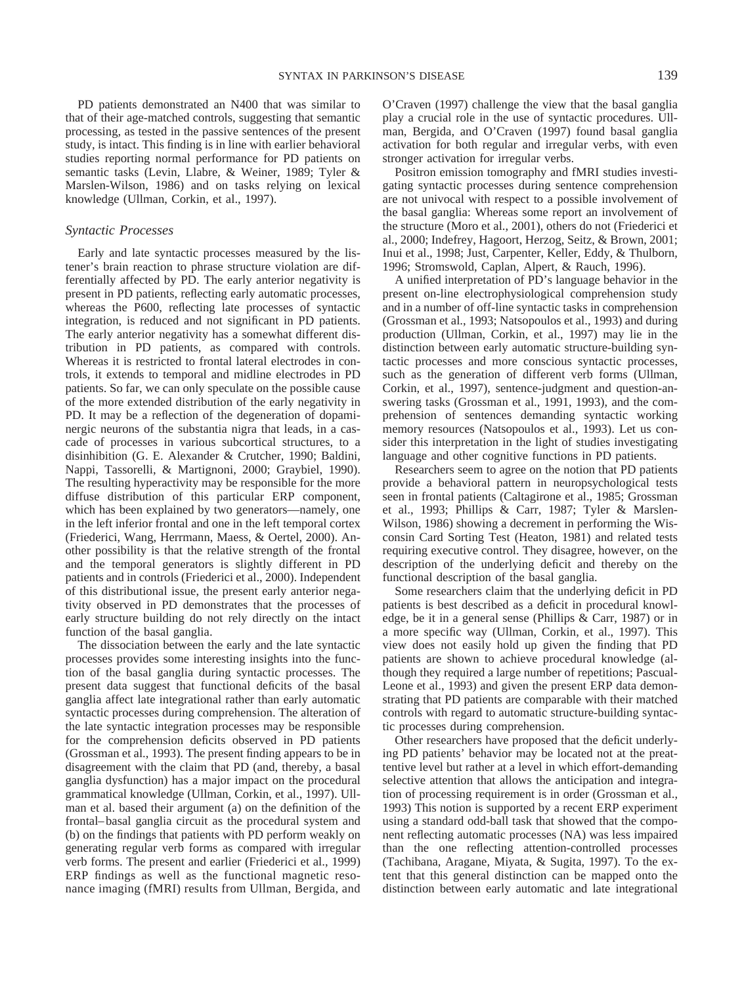PD patients demonstrated an N400 that was similar to that of their age-matched controls, suggesting that semantic processing, as tested in the passive sentences of the present study, is intact. This finding is in line with earlier behavioral studies reporting normal performance for PD patients on semantic tasks (Levin, Llabre, & Weiner, 1989; Tyler & Marslen-Wilson, 1986) and on tasks relying on lexical knowledge (Ullman, Corkin, et al., 1997).

## *Syntactic Processes*

Early and late syntactic processes measured by the listener's brain reaction to phrase structure violation are differentially affected by PD. The early anterior negativity is present in PD patients, reflecting early automatic processes, whereas the P600, reflecting late processes of syntactic integration, is reduced and not significant in PD patients. The early anterior negativity has a somewhat different distribution in PD patients, as compared with controls. Whereas it is restricted to frontal lateral electrodes in controls, it extends to temporal and midline electrodes in PD patients. So far, we can only speculate on the possible cause of the more extended distribution of the early negativity in PD. It may be a reflection of the degeneration of dopaminergic neurons of the substantia nigra that leads, in a cascade of processes in various subcortical structures, to a disinhibition (G. E. Alexander & Crutcher, 1990; Baldini, Nappi, Tassorelli, & Martignoni, 2000; Graybiel, 1990). The resulting hyperactivity may be responsible for the more diffuse distribution of this particular ERP component, which has been explained by two generators—namely, one in the left inferior frontal and one in the left temporal cortex (Friederici, Wang, Herrmann, Maess, & Oertel, 2000). Another possibility is that the relative strength of the frontal and the temporal generators is slightly different in PD patients and in controls (Friederici et al., 2000). Independent of this distributional issue, the present early anterior negativity observed in PD demonstrates that the processes of early structure building do not rely directly on the intact function of the basal ganglia.

The dissociation between the early and the late syntactic processes provides some interesting insights into the function of the basal ganglia during syntactic processes. The present data suggest that functional deficits of the basal ganglia affect late integrational rather than early automatic syntactic processes during comprehension. The alteration of the late syntactic integration processes may be responsible for the comprehension deficits observed in PD patients (Grossman et al., 1993). The present finding appears to be in disagreement with the claim that PD (and, thereby, a basal ganglia dysfunction) has a major impact on the procedural grammatical knowledge (Ullman, Corkin, et al., 1997). Ullman et al. based their argument (a) on the definition of the frontal–basal ganglia circuit as the procedural system and (b) on the findings that patients with PD perform weakly on generating regular verb forms as compared with irregular verb forms. The present and earlier (Friederici et al., 1999) ERP findings as well as the functional magnetic resonance imaging (fMRI) results from Ullman, Bergida, and

O'Craven (1997) challenge the view that the basal ganglia play a crucial role in the use of syntactic procedures. Ullman, Bergida, and O'Craven (1997) found basal ganglia activation for both regular and irregular verbs, with even stronger activation for irregular verbs.

Positron emission tomography and fMRI studies investigating syntactic processes during sentence comprehension are not univocal with respect to a possible involvement of the basal ganglia: Whereas some report an involvement of the structure (Moro et al., 2001), others do not (Friederici et al., 2000; Indefrey, Hagoort, Herzog, Seitz, & Brown, 2001; Inui et al., 1998; Just, Carpenter, Keller, Eddy, & Thulborn, 1996; Stromswold, Caplan, Alpert, & Rauch, 1996).

A unified interpretation of PD's language behavior in the present on-line electrophysiological comprehension study and in a number of off-line syntactic tasks in comprehension (Grossman et al., 1993; Natsopoulos et al., 1993) and during production (Ullman, Corkin, et al., 1997) may lie in the distinction between early automatic structure-building syntactic processes and more conscious syntactic processes, such as the generation of different verb forms (Ullman, Corkin, et al., 1997), sentence-judgment and question-answering tasks (Grossman et al., 1991, 1993), and the comprehension of sentences demanding syntactic working memory resources (Natsopoulos et al., 1993). Let us consider this interpretation in the light of studies investigating language and other cognitive functions in PD patients.

Researchers seem to agree on the notion that PD patients provide a behavioral pattern in neuropsychological tests seen in frontal patients (Caltagirone et al., 1985; Grossman et al., 1993; Phillips & Carr, 1987; Tyler & Marslen-Wilson, 1986) showing a decrement in performing the Wisconsin Card Sorting Test (Heaton, 1981) and related tests requiring executive control. They disagree, however, on the description of the underlying deficit and thereby on the functional description of the basal ganglia.

Some researchers claim that the underlying deficit in PD patients is best described as a deficit in procedural knowledge, be it in a general sense (Phillips & Carr, 1987) or in a more specific way (Ullman, Corkin, et al., 1997). This view does not easily hold up given the finding that PD patients are shown to achieve procedural knowledge (although they required a large number of repetitions; Pascual-Leone et al., 1993) and given the present ERP data demonstrating that PD patients are comparable with their matched controls with regard to automatic structure-building syntactic processes during comprehension.

Other researchers have proposed that the deficit underlying PD patients' behavior may be located not at the preattentive level but rather at a level in which effort-demanding selective attention that allows the anticipation and integration of processing requirement is in order (Grossman et al., 1993) This notion is supported by a recent ERP experiment using a standard odd-ball task that showed that the component reflecting automatic processes (NA) was less impaired than the one reflecting attention-controlled processes (Tachibana, Aragane, Miyata, & Sugita, 1997). To the extent that this general distinction can be mapped onto the distinction between early automatic and late integrational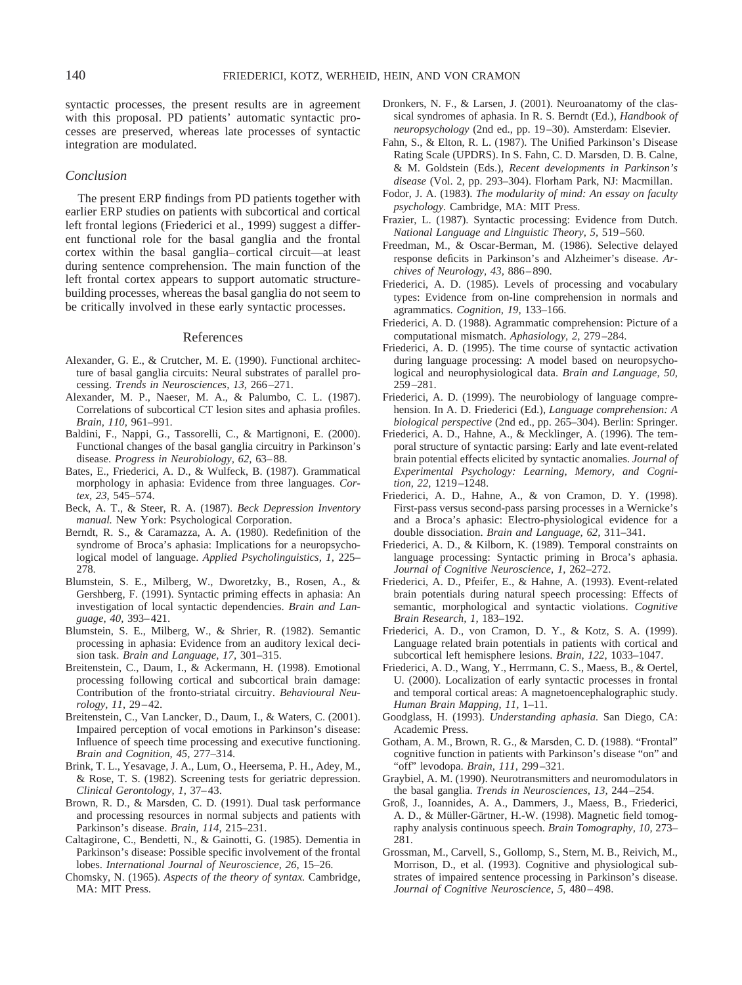syntactic processes, the present results are in agreement with this proposal. PD patients' automatic syntactic processes are preserved, whereas late processes of syntactic integration are modulated.

## *Conclusion*

The present ERP findings from PD patients together with earlier ERP studies on patients with subcortical and cortical left frontal legions (Friederici et al., 1999) suggest a different functional role for the basal ganglia and the frontal cortex within the basal ganglia–cortical circuit—at least during sentence comprehension. The main function of the left frontal cortex appears to support automatic structurebuilding processes, whereas the basal ganglia do not seem to be critically involved in these early syntactic processes.

## References

- Alexander, G. E., & Crutcher, M. E. (1990). Functional architecture of basal ganglia circuits: Neural substrates of parallel processing. *Trends in Neurosciences, 13,* 266–271.
- Alexander, M. P., Naeser, M. A., & Palumbo, C. L. (1987). Correlations of subcortical CT lesion sites and aphasia profiles. *Brain, 110,* 961–991.
- Baldini, F., Nappi, G., Tassorelli, C., & Martignoni, E. (2000). Functional changes of the basal ganglia circuitry in Parkinson's disease. *Progress in Neurobiology, 62,* 63–88.
- Bates, E., Friederici, A. D., & Wulfeck, B. (1987). Grammatical morphology in aphasia: Evidence from three languages. *Cortex, 23,* 545–574.
- Beck, A. T., & Steer, R. A. (1987). *Beck Depression Inventory manual.* New York: Psychological Corporation.
- Berndt, R. S., & Caramazza, A. A. (1980). Redefinition of the syndrome of Broca's aphasia: Implications for a neuropsychological model of language. *Applied Psycholinguistics, 1,* 225– 278.
- Blumstein, S. E., Milberg, W., Dworetzky, B., Rosen, A., & Gershberg, F. (1991). Syntactic priming effects in aphasia: An investigation of local syntactic dependencies. *Brain and Language, 40,* 393–421.
- Blumstein, S. E., Milberg, W., & Shrier, R. (1982). Semantic processing in aphasia: Evidence from an auditory lexical decision task. *Brain and Language, 17,* 301–315.
- Breitenstein, C., Daum, I., & Ackermann, H. (1998). Emotional processing following cortical and subcortical brain damage: Contribution of the fronto-striatal circuitry. *Behavioural Neurology, 11,* 29–42.
- Breitenstein, C., Van Lancker, D., Daum, I., & Waters, C. (2001). Impaired perception of vocal emotions in Parkinson's disease: Influence of speech time processing and executive functioning. *Brain and Cognition, 45,* 277–314.
- Brink, T. L., Yesavage, J. A., Lum, O., Heersema, P. H., Adey, M., & Rose, T. S. (1982). Screening tests for geriatric depression. *Clinical Gerontology, 1,* 37–43.
- Brown, R. D., & Marsden, C. D. (1991). Dual task performance and processing resources in normal subjects and patients with Parkinson's disease. *Brain, 114,* 215–231.
- Caltagirone, C., Bendetti, N., & Gainotti, G. (1985). Dementia in Parkinson's disease: Possible specific involvement of the frontal lobes. *International Journal of Neuroscience, 26,* 15–26.
- Chomsky, N. (1965). *Aspects of the theory of syntax.* Cambridge, MA: MIT Press.
- Dronkers, N. F., & Larsen, J. (2001). Neuroanatomy of the classical syndromes of aphasia. In R. S. Berndt (Ed.), *Handbook of neuropsychology* (2nd ed., pp. 19–30). Amsterdam: Elsevier.
- Fahn, S., & Elton, R. L. (1987). The Unified Parkinson's Disease Rating Scale (UPDRS). In S. Fahn, C. D. Marsden, D. B. Calne, & M. Goldstein (Eds.), *Recent developments in Parkinson's disease* (Vol. 2, pp. 293–304). Florham Park, NJ: Macmillan.
- Fodor, J. A. (1983). *The modularity of mind: An essay on faculty psychology.* Cambridge, MA: MIT Press.
- Frazier, L. (1987). Syntactic processing: Evidence from Dutch. *National Language and Linguistic Theory, 5,* 519–560.
- Freedman, M., & Oscar-Berman, M. (1986). Selective delayed response deficits in Parkinson's and Alzheimer's disease. *Archives of Neurology, 43,* 886–890.
- Friederici, A. D. (1985). Levels of processing and vocabulary types: Evidence from on-line comprehension in normals and agrammatics. *Cognition, 19,* 133–166.
- Friederici, A. D. (1988). Agrammatic comprehension: Picture of a computational mismatch. *Aphasiology, 2,* 279–284.
- Friederici, A. D. (1995). The time course of syntactic activation during language processing: A model based on neuropsychological and neurophysiological data. *Brain and Language, 50,* 259–281.
- Friederici, A. D. (1999). The neurobiology of language comprehension. In A. D. Friederici (Ed.), *Language comprehension: A biological perspective* (2nd ed., pp. 265–304). Berlin: Springer.
- Friederici, A. D., Hahne, A., & Mecklinger, A. (1996). The temporal structure of syntactic parsing: Early and late event-related brain potential effects elicited by syntactic anomalies. *Journal of Experimental Psychology: Learning, Memory, and Cognition, 22,* 1219–1248.
- Friederici, A. D., Hahne, A., & von Cramon, D. Y. (1998). First-pass versus second-pass parsing processes in a Wernicke's and a Broca's aphasic: Electro-physiological evidence for a double dissociation. *Brain and Language, 62,* 311–341.
- Friederici, A. D., & Kilborn, K. (1989). Temporal constraints on language processing: Syntactic priming in Broca's aphasia. *Journal of Cognitive Neuroscience, 1,* 262–272.
- Friederici, A. D., Pfeifer, E., & Hahne, A. (1993). Event-related brain potentials during natural speech processing: Effects of semantic, morphological and syntactic violations. *Cognitive Brain Research, 1,* 183–192.
- Friederici, A. D., von Cramon, D. Y., & Kotz, S. A. (1999). Language related brain potentials in patients with cortical and subcortical left hemisphere lesions. *Brain, 122,* 1033–1047.
- Friederici, A. D., Wang, Y., Herrmann, C. S., Maess, B., & Oertel, U. (2000). Localization of early syntactic processes in frontal and temporal cortical areas: A magnetoencephalographic study. *Human Brain Mapping, 11,* 1–11.
- Goodglass, H. (1993). *Understanding aphasia.* San Diego, CA: Academic Press.
- Gotham, A. M., Brown, R. G., & Marsden, C. D. (1988). "Frontal" cognitive function in patients with Parkinson's disease "on" and "off" levodopa. *Brain, 111,* 299–321.
- Graybiel, A. M. (1990). Neurotransmitters and neuromodulators in the basal ganglia. *Trends in Neurosciences, 13,* 244–254.
- Groß, J., Ioannides, A. A., Dammers, J., Maess, B., Friederici, A. D., & Müller-Gärtner, H.-W. (1998). Magnetic field tomography analysis continuous speech. *Brain Tomography, 10,* 273– 281.
- Grossman, M., Carvell, S., Gollomp, S., Stern, M. B., Reivich, M., Morrison, D., et al. (1993). Cognitive and physiological substrates of impaired sentence processing in Parkinson's disease. *Journal of Cognitive Neuroscience, 5,* 480–498.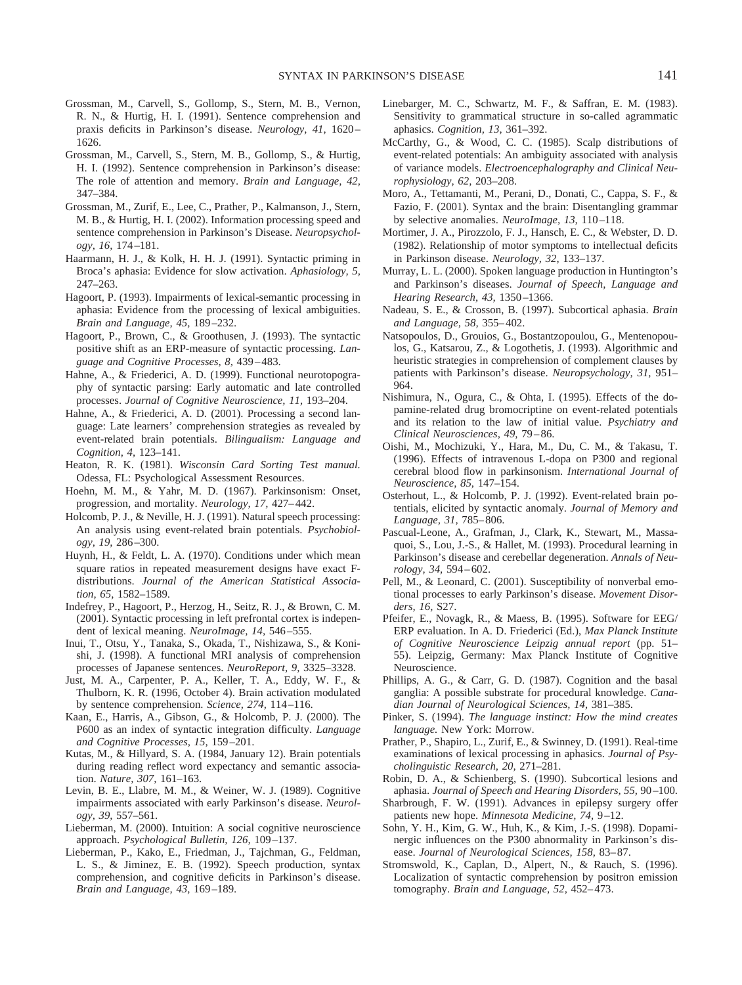- Grossman, M., Carvell, S., Gollomp, S., Stern, M. B., Vernon, R. N., & Hurtig, H. I. (1991). Sentence comprehension and praxis deficits in Parkinson's disease. *Neurology, 41,* 1620– 1626.
- Grossman, M., Carvell, S., Stern, M. B., Gollomp, S., & Hurtig, H. I. (1992). Sentence comprehension in Parkinson's disease: The role of attention and memory. *Brain and Language, 42,* 347–384.
- Grossman, M., Zurif, E., Lee, C., Prather, P., Kalmanson, J., Stern, M. B., & Hurtig, H. I. (2002). Information processing speed and sentence comprehension in Parkinson's Disease. *Neuropsychology, 16,* 174–181.
- Haarmann, H. J., & Kolk, H. H. J. (1991). Syntactic priming in Broca's aphasia: Evidence for slow activation. *Aphasiology, 5,* 247–263.
- Hagoort, P. (1993). Impairments of lexical-semantic processing in aphasia: Evidence from the processing of lexical ambiguities. *Brain and Language, 45,* 189–232.
- Hagoort, P., Brown, C., & Groothusen, J. (1993). The syntactic positive shift as an ERP-measure of syntactic processing. *Language and Cognitive Processes, 8,* 439–483.
- Hahne, A., & Friederici, A. D. (1999). Functional neurotopography of syntactic parsing: Early automatic and late controlled processes. *Journal of Cognitive Neuroscience, 11,* 193–204.
- Hahne, A., & Friederici, A. D. (2001). Processing a second language: Late learners' comprehension strategies as revealed by event-related brain potentials. *Bilingualism: Language and Cognition, 4,* 123–141.
- Heaton, R. K. (1981). *Wisconsin Card Sorting Test manual.* Odessa, FL: Psychological Assessment Resources.
- Hoehn, M. M., & Yahr, M. D. (1967). Parkinsonism: Onset, progression, and mortality. *Neurology, 17,* 427–442.
- Holcomb, P. J., & Neville, H. J. (1991). Natural speech processing: An analysis using event-related brain potentials. *Psychobiology, 19,* 286–300.
- Huynh, H., & Feldt, L. A. (1970). Conditions under which mean square ratios in repeated measurement designs have exact Fdistributions. *Journal of the American Statistical Association, 65,* 1582–1589.
- Indefrey, P., Hagoort, P., Herzog, H., Seitz, R. J., & Brown, C. M. (2001). Syntactic processing in left prefrontal cortex is independent of lexical meaning. *NeuroImage, 14,* 546–555.
- Inui, T., Otsu, Y., Tanaka, S., Okada, T., Nishizawa, S., & Konishi, J. (1998). A functional MRI analysis of comprehension processes of Japanese sentences. *NeuroReport, 9,* 3325–3328.
- Just, M. A., Carpenter, P. A., Keller, T. A., Eddy, W. F., & Thulborn, K. R. (1996, October 4). Brain activation modulated by sentence comprehension. *Science, 274,* 114–116.
- Kaan, E., Harris, A., Gibson, G., & Holcomb, P. J. (2000). The P600 as an index of syntactic integration difficulty. *Language and Cognitive Processes, 15,* 159–201.
- Kutas, M., & Hillyard, S. A. (1984, January 12). Brain potentials during reading reflect word expectancy and semantic association. *Nature, 307,* 161–163.
- Levin, B. E., Llabre, M. M., & Weiner, W. J. (1989). Cognitive impairments associated with early Parkinson's disease. *Neurology, 39,* 557–561.
- Lieberman, M. (2000). Intuition: A social cognitive neuroscience approach. *Psychological Bulletin, 126,* 109–137.
- Lieberman, P., Kako, E., Friedman, J., Tajchman, G., Feldman, L. S., & Jiminez, E. B. (1992). Speech production, syntax comprehension, and cognitive deficits in Parkinson's disease. *Brain and Language, 43,* 169–189.
- Linebarger, M. C., Schwartz, M. F., & Saffran, E. M. (1983). Sensitivity to grammatical structure in so-called agrammatic aphasics. *Cognition, 13,* 361–392.
- McCarthy, G., & Wood, C. C. (1985). Scalp distributions of event-related potentials: An ambiguity associated with analysis of variance models. *Electroencephalography and Clinical Neurophysiology, 62,* 203–208.
- Moro, A., Tettamanti, M., Perani, D., Donati, C., Cappa, S. F., & Fazio, F. (2001). Syntax and the brain: Disentangling grammar by selective anomalies. *NeuroImage, 13,* 110–118.
- Mortimer, J. A., Pirozzolo, F. J., Hansch, E. C., & Webster, D. D. (1982). Relationship of motor symptoms to intellectual deficits in Parkinson disease. *Neurology, 32,* 133–137.
- Murray, L. L. (2000). Spoken language production in Huntington's and Parkinson's diseases. *Journal of Speech, Language and Hearing Research, 43,* 1350–1366.
- Nadeau, S. E., & Crosson, B. (1997). Subcortical aphasia. *Brain and Language, 58,* 355–402.
- Natsopoulos, D., Grouios, G., Bostantzopoulou, G., Mentenopoulos, G., Katsarou, Z., & Logothetis, J. (1993). Algorithmic and heuristic strategies in comprehension of complement clauses by patients with Parkinson's disease. *Neuropsychology, 31,* 951– 964.
- Nishimura, N., Ogura, C., & Ohta, I. (1995). Effects of the dopamine-related drug bromocriptine on event-related potentials and its relation to the law of initial value. *Psychiatry and Clinical Neurosciences, 49,* 79–86.
- Oishi, M., Mochizuki, Y., Hara, M., Du, C. M., & Takasu, T. (1996). Effects of intravenous L-dopa on P300 and regional cerebral blood flow in parkinsonism. *International Journal of Neuroscience, 85,* 147–154.
- Osterhout, L., & Holcomb, P. J. (1992). Event-related brain potentials, elicited by syntactic anomaly. *Journal of Memory and Language, 31,* 785–806.
- Pascual-Leone, A., Grafman, J., Clark, K., Stewart, M., Massaquoi, S., Lou, J.-S., & Hallet, M. (1993). Procedural learning in Parkinson's disease and cerebellar degeneration. *Annals of Neurology, 34,* 594–602.
- Pell, M., & Leonard, C. (2001). Susceptibility of nonverbal emotional processes to early Parkinson's disease. *Movement Disorders, 16,* S27.
- Pfeifer, E., Novagk, R., & Maess, B. (1995). Software for EEG/ ERP evaluation. In A. D. Friederici (Ed.), *Max Planck Institute of Cognitive Neuroscience Leipzig annual report* (pp. 51– 55). Leipzig, Germany: Max Planck Institute of Cognitive Neuroscience.
- Phillips, A. G., & Carr, G. D. (1987). Cognition and the basal ganglia: A possible substrate for procedural knowledge. *Canadian Journal of Neurological Sciences, 14,* 381–385.
- Pinker, S. (1994). *The language instinct: How the mind creates language.* New York: Morrow.
- Prather, P., Shapiro, L., Zurif, E., & Swinney, D. (1991). Real-time examinations of lexical processing in aphasics. *Journal of Psycholinguistic Research, 20,* 271–281.
- Robin, D. A., & Schienberg, S. (1990). Subcortical lesions and aphasia. *Journal of Speech and Hearing Disorders, 55,* 90–100.
- Sharbrough, F. W. (1991). Advances in epilepsy surgery offer patients new hope. *Minnesota Medicine, 74,* 9–12.
- Sohn, Y. H., Kim, G. W., Huh, K., & Kim, J.-S. (1998). Dopaminergic influences on the P300 abnormality in Parkinson's disease. *Journal of Neurological Sciences, 158,* 83–87.
- Stromswold, K., Caplan, D., Alpert, N., & Rauch, S. (1996). Localization of syntactic comprehension by positron emission tomography. *Brain and Language, 52,* 452–473.